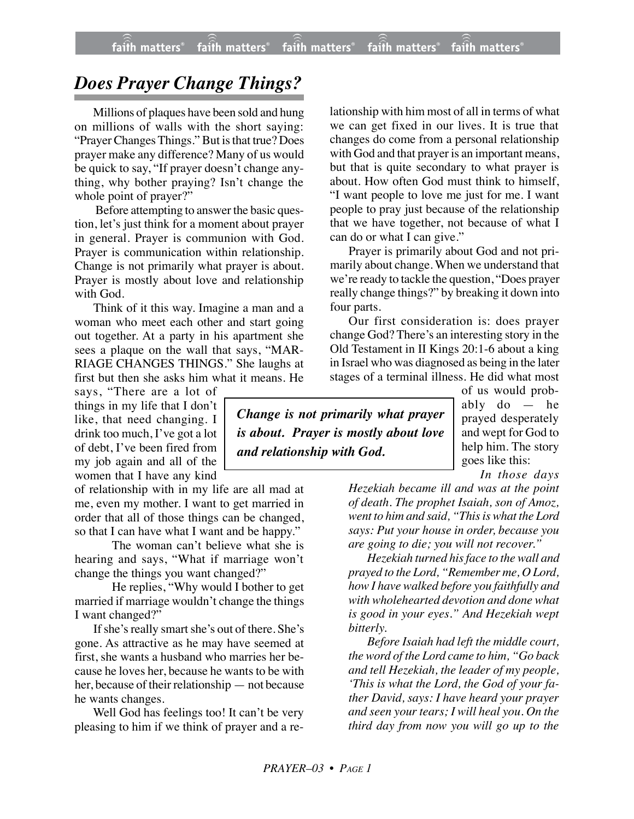## *Does Prayer Change Things?*

Millions of plaques have been sold and hung on millions of walls with the short saying: "Prayer Changes Things." But is that true? Does prayer make any difference? Many of us would be quick to say, "If prayer doesn't change anything, why bother praying? Isn't change the whole point of prayer?"

 Before attempting to answer the basic question, let's just think for a moment about prayer in general. Prayer is communion with God. Prayer is communication within relationship. Change is not primarily what prayer is about. Prayer is mostly about love and relationship with God.

Think of it this way. Imagine a man and a woman who meet each other and start going out together. At a party in his apartment she sees a plaque on the wall that says, "MAR-RIAGE CHANGES THINGS." She laughs at first but then she asks him what it means. He

says, "There are a lot of things in my life that I don't like, that need changing. I drink too much, I've got a lot of debt, I've been fired from my job again and all of the women that I have any kind

of relationship with in my life are all mad at me, even my mother. I want to get married in order that all of those things can be changed, so that I can have what I want and be happy."

The woman can't believe what she is hearing and says, "What if marriage won't change the things you want changed?"

He replies, "Why would I bother to get married if marriage wouldn't change the things I want changed?"

If she's really smart she's out of there. She's gone. As attractive as he may have seemed at first, she wants a husband who marries her because he loves her, because he wants to be with her, because of their relationship — not because he wants changes.

Well God has feelings too! It can't be very pleasing to him if we think of prayer and a relationship with him most of all in terms of what we can get fixed in our lives. It is true that changes do come from a personal relationship with God and that prayer is an important means, but that is quite secondary to what prayer is about. How often God must think to himself, "I want people to love me just for me. I want people to pray just because of the relationship that we have together, not because of what I can do or what I can give."

Prayer is primarily about God and not primarily about change. When we understand that we're ready to tackle the question, "Does prayer really change things?" by breaking it down into four parts.

Our first consideration is: does prayer change God? There's an interesting story in the Old Testament in II Kings 20:1-6 about a king in Israel who was diagnosed as being in the later stages of a terminal illness. He did what most

*Change is not primarily what prayer is about. Prayer is mostly about love and relationship with God.*

of us would probably do — he prayed desperately and wept for God to help him. The story goes like this:

*In those days*

*Hezekiah became ill and was at the point of death. The prophet Isaiah, son of Amoz, went to him and said, "This is what the Lord says: Put your house in order, because you are going to die; you will not recover."*

*Hezekiah turned his face to the wall and prayed to the Lord, "Remember me, O Lord, how I have walked before you faithfully and with wholehearted devotion and done what is good in your eyes." And Hezekiah wept bitterly.*

*Before Isaiah had left the middle court, the word of the Lord came to him, "Go back and tell Hezekiah, the leader of my people, 'This is what the Lord, the God of your father David, says: I have heard your prayer and seen your tears; I will heal you. On the third day from now you will go up to the*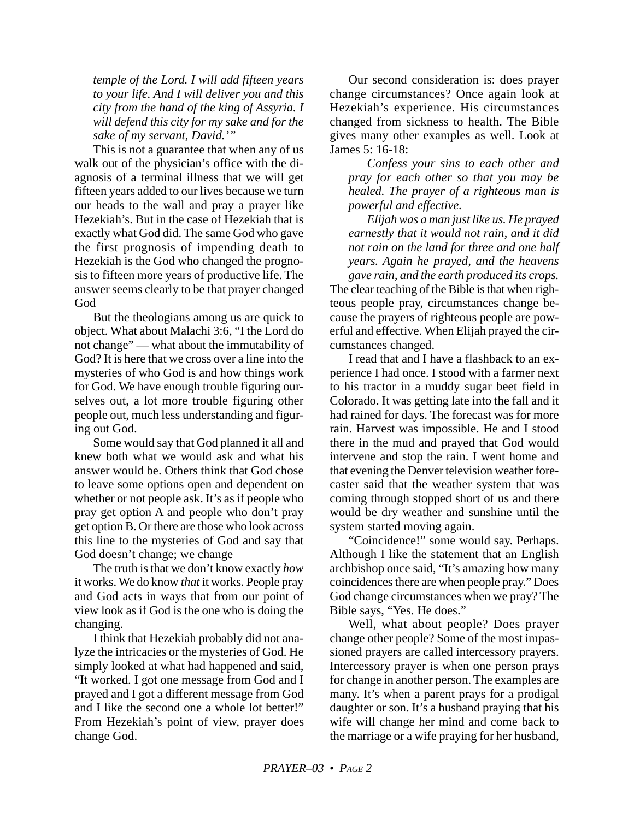*temple of the Lord. I will add fifteen years to your life. And I will deliver you and this city from the hand of the king of Assyria. I will defend this city for my sake and for the sake of my servant, David.'"*

This is not a guarantee that when any of us walk out of the physician's office with the diagnosis of a terminal illness that we will get fifteen years added to our lives because we turn our heads to the wall and pray a prayer like Hezekiah's. But in the case of Hezekiah that is exactly what God did. The same God who gave the first prognosis of impending death to Hezekiah is the God who changed the prognosis to fifteen more years of productive life. The answer seems clearly to be that prayer changed God

But the theologians among us are quick to object. What about Malachi 3:6, "I the Lord do not change" — what about the immutability of God? It is here that we cross over a line into the mysteries of who God is and how things work for God. We have enough trouble figuring ourselves out, a lot more trouble figuring other people out, much less understanding and figuring out God.

Some would say that God planned it all and knew both what we would ask and what his answer would be. Others think that God chose to leave some options open and dependent on whether or not people ask. It's as if people who pray get option A and people who don't pray get option B. Or there are those who look across this line to the mysteries of God and say that God doesn't change; we change

The truth is that we don't know exactly *how* it works. We do know *that* it works. People pray and God acts in ways that from our point of view look as if God is the one who is doing the changing.

I think that Hezekiah probably did not analyze the intricacies or the mysteries of God. He simply looked at what had happened and said, "It worked. I got one message from God and I prayed and I got a different message from God and I like the second one a whole lot better!" From Hezekiah's point of view, prayer does change God.

Our second consideration is: does prayer change circumstances? Once again look at Hezekiah's experience. His circumstances changed from sickness to health. The Bible gives many other examples as well. Look at James 5: 16-18:

*Confess your sins to each other and pray for each other so that you may be healed. The prayer of a righteous man is powerful and effective.*

*Elijah was a man just like us. He prayed earnestly that it would not rain, and it did not rain on the land for three and one half years. Again he prayed, and the heavens gave rain, and the earth produced its crops.* The clear teaching of the Bible is that when righteous people pray, circumstances change because the prayers of righteous people are powerful and effective. When Elijah prayed the circumstances changed.

I read that and I have a flashback to an experience I had once. I stood with a farmer next to his tractor in a muddy sugar beet field in Colorado. It was getting late into the fall and it had rained for days. The forecast was for more rain. Harvest was impossible. He and I stood there in the mud and prayed that God would intervene and stop the rain. I went home and that evening the Denver television weather forecaster said that the weather system that was coming through stopped short of us and there would be dry weather and sunshine until the system started moving again.

"Coincidence!" some would say. Perhaps. Although I like the statement that an English archbishop once said, "It's amazing how many coincidences there are when people pray." Does God change circumstances when we pray? The Bible says, "Yes. He does."

Well, what about people? Does prayer change other people? Some of the most impassioned prayers are called intercessory prayers. Intercessory prayer is when one person prays for change in another person. The examples are many. It's when a parent prays for a prodigal daughter or son. It's a husband praying that his wife will change her mind and come back to the marriage or a wife praying for her husband,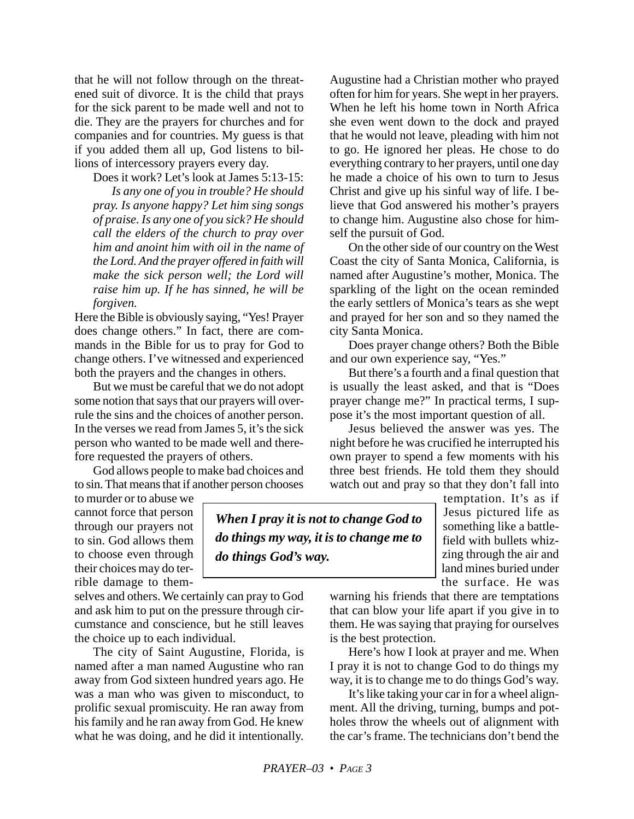that he will not follow through on the threatened suit of divorce. It is the child that prays for the sick parent to be made well and not to die. They are the prayers for churches and for companies and for countries. My guess is that if you added them all up, God listens to billions of intercessory prayers every day.

Does it work? Let's look at James 5:13-15:

*Is any one of you in trouble? He should pray. Is anyone happy? Let him sing songs of praise. Is any one of you sick? He should call the elders of the church to pray over him and anoint him with oil in the name of the Lord. And the prayer offered in faith will make the sick person well; the Lord will raise him up. If he has sinned, he will be forgiven.*

Here the Bible is obviously saying, "Yes! Prayer does change others." In fact, there are commands in the Bible for us to pray for God to change others. I've witnessed and experienced both the prayers and the changes in others.

But we must be careful that we do not adopt some notion that says that our prayers will overrule the sins and the choices of another person. In the verses we read from James 5, it's the sick person who wanted to be made well and therefore requested the prayers of others.

God allows people to make bad choices and to sin. That means that if another person chooses

to murder or to abuse we cannot force that person through our prayers not to sin. God allows them to choose even through their choices may do terrible damage to them-

selves and others. We certainly can pray to God and ask him to put on the pressure through circumstance and conscience, but he still leaves the choice up to each individual.

The city of Saint Augustine, Florida, is named after a man named Augustine who ran away from God sixteen hundred years ago. He was a man who was given to misconduct, to prolific sexual promiscuity. He ran away from his family and he ran away from God. He knew what he was doing, and he did it intentionally.

Augustine had a Christian mother who prayed often for him for years. She wept in her prayers. When he left his home town in North Africa she even went down to the dock and prayed that he would not leave, pleading with him not to go. He ignored her pleas. He chose to do everything contrary to her prayers, until one day he made a choice of his own to turn to Jesus Christ and give up his sinful way of life. I believe that God answered his mother's prayers to change him. Augustine also chose for himself the pursuit of God.

On the other side of our country on the West Coast the city of Santa Monica, California, is named after Augustine's mother, Monica. The sparkling of the light on the ocean reminded the early settlers of Monica's tears as she wept and prayed for her son and so they named the city Santa Monica.

Does prayer change others? Both the Bible and our own experience say, "Yes."

But there's a fourth and a final question that is usually the least asked, and that is "Does prayer change me?" In practical terms, I suppose it's the most important question of all.

Jesus believed the answer was yes. The night before he was crucified he interrupted his own prayer to spend a few moments with his three best friends. He told them they should watch out and pray so that they don't fall into

> temptation. It's as if Jesus pictured life as something like a battlefield with bullets whizzing through the air and land mines buried under the surface. He was

warning his friends that there are temptations that can blow your life apart if you give in to them. He was saying that praying for ourselves is the best protection.

Here's how I look at prayer and me. When I pray it is not to change God to do things my way, it is to change me to do things God's way.

It's like taking your car in for a wheel alignment. All the driving, turning, bumps and potholes throw the wheels out of alignment with the car's frame. The technicians don't bend the

*When I pray it is not to change God to do things my way, it is to change me to*

*do things God's way.*